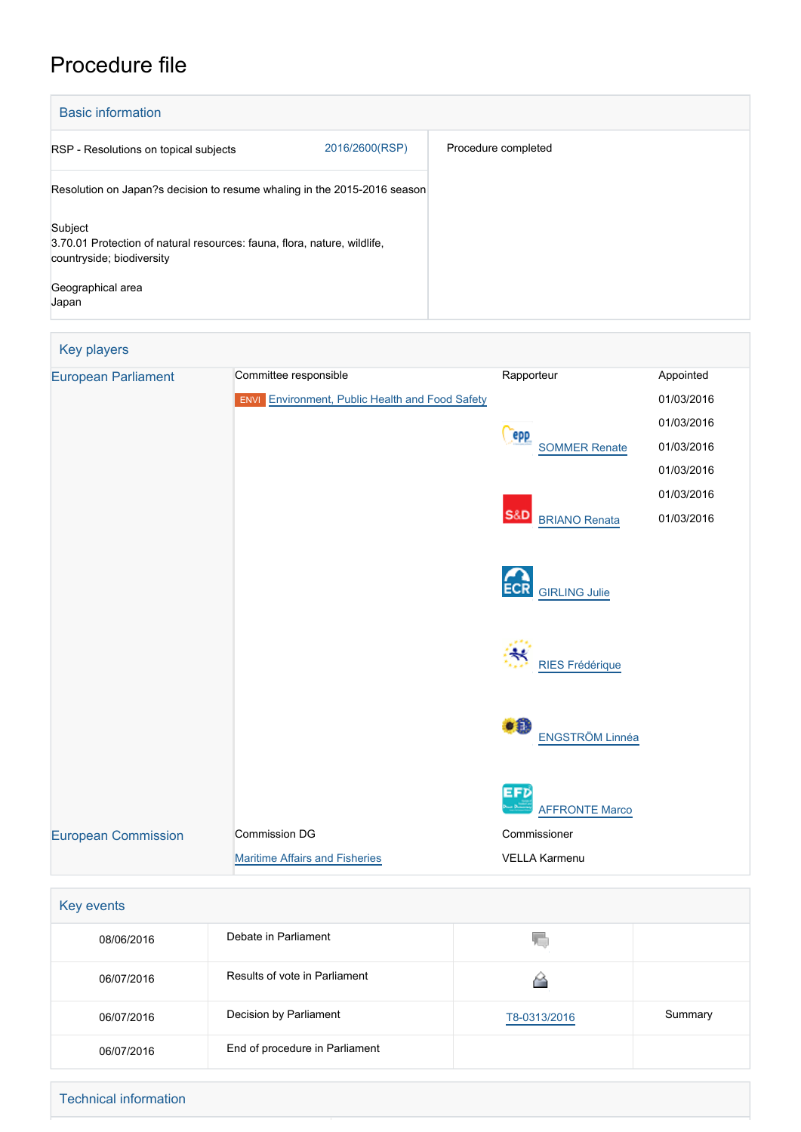## Procedure file

| <b>Basic information</b>                                                                                         |                |                     |  |  |
|------------------------------------------------------------------------------------------------------------------|----------------|---------------------|--|--|
| RSP - Resolutions on topical subjects                                                                            | 2016/2600(RSP) | Procedure completed |  |  |
| Resolution on Japan?s decision to resume whaling in the 2015-2016 season                                         |                |                     |  |  |
| Subject<br>3.70.01 Protection of natural resources: fauna, flora, nature, wildlife,<br>countryside; biodiversity |                |                     |  |  |
| Geographical area<br>Japan                                                                                       |                |                     |  |  |

| Key players                |                                                                  |                                        |            |
|----------------------------|------------------------------------------------------------------|----------------------------------------|------------|
| <b>European Parliament</b> | Committee responsible                                            | Rapporteur                             | Appointed  |
|                            | <b>Environment, Public Health and Food Safety</b><br><b>ENVI</b> |                                        | 01/03/2016 |
|                            |                                                                  |                                        | 01/03/2016 |
|                            |                                                                  | epp<br><b>SOMMER Renate</b>            | 01/03/2016 |
|                            |                                                                  |                                        | 01/03/2016 |
|                            |                                                                  |                                        | 01/03/2016 |
|                            |                                                                  | <b>S&amp;D</b><br><b>BRIANO Renata</b> | 01/03/2016 |
|                            |                                                                  |                                        |            |
|                            |                                                                  | <b>ECR</b><br><b>GIRLING Julie</b>     |            |
|                            |                                                                  |                                        |            |
|                            |                                                                  | <b>RIES Frédérique</b>                 |            |
|                            |                                                                  | $\bullet$ 0<br>ENGSTRÖM Linnéa         |            |
|                            |                                                                  | EFD<br><b>AFFRONTE Marco</b>           |            |
| <b>European Commission</b> | <b>Commission DG</b>                                             | Commissioner                           |            |
|                            | <b>Maritime Affairs and Fisheries</b>                            | <b>VELLA Karmenu</b>                   |            |

| Key events |                                |              |         |
|------------|--------------------------------|--------------|---------|
| 08/06/2016 | Debate in Parliament           |              |         |
| 06/07/2016 | Results of vote in Parliament  |              |         |
| 06/07/2016 | Decision by Parliament         | T8-0313/2016 | Summary |
| 06/07/2016 | End of procedure in Parliament |              |         |